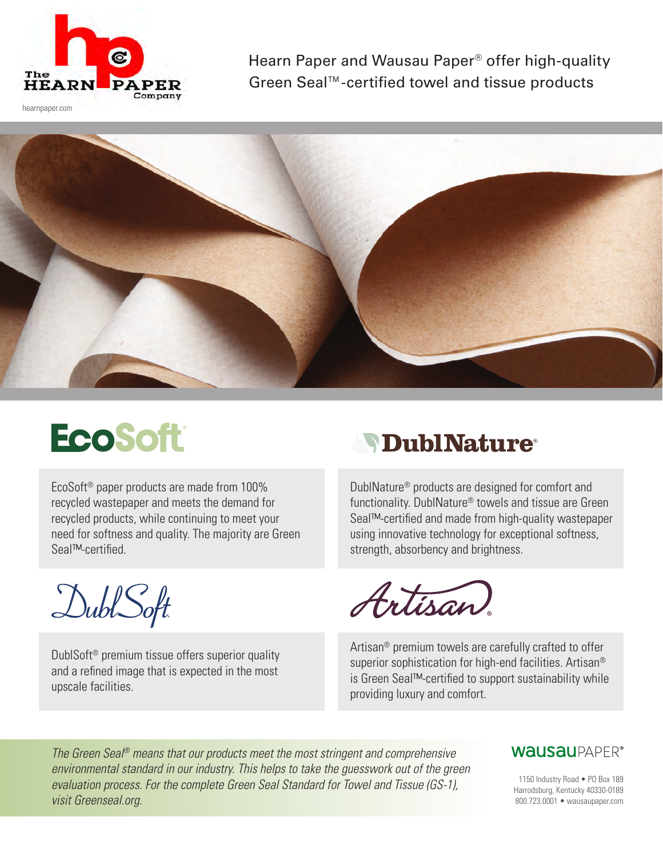

Hearn Paper and Wausau Paper® offer high-quality Green Seal™-certified towel and tissue products

hearnpaper.com



## **EcoSoft**

EcoSoft® paper products are made from 100% recycled wastepaper and meets the demand for recycled products, while continuing to meet your need for softness and quality. The majority are Green Seal™-certified.

DublSoft

DublSoft® premium tissue offers superior quality and a refined image that is expected in the most upscale facilities.

## **SPublNature**

DublNature® products are designed for comfort and functionality. DublNature® towels and tissue are Green Seal™-certified and made from high-quality wastepaper using innovative technology for exceptional softness, strength, absorbency and brightness.



Artisan® premium towels are carefully crafted to offer superior sophistication for high-end facilities. Artisan<sup>®</sup> is Green Seal™-certified to support sustainability while providing luxury and comfort.

*The Green Seal® means that our products meet the most stringent and comprehensive environmental standard in our industry. This helps to take the guesswork out of the green evaluation process. For the complete Green Seal Standard for Towel and Tissue (GS-1), visit Greenseal.org.*

## **WAUSAUPAPER®**

1150 Industry Road • PO Box 189 Harrodsburg, Kentucky 40330-0189 800.723.0001 • wausaupaper.com